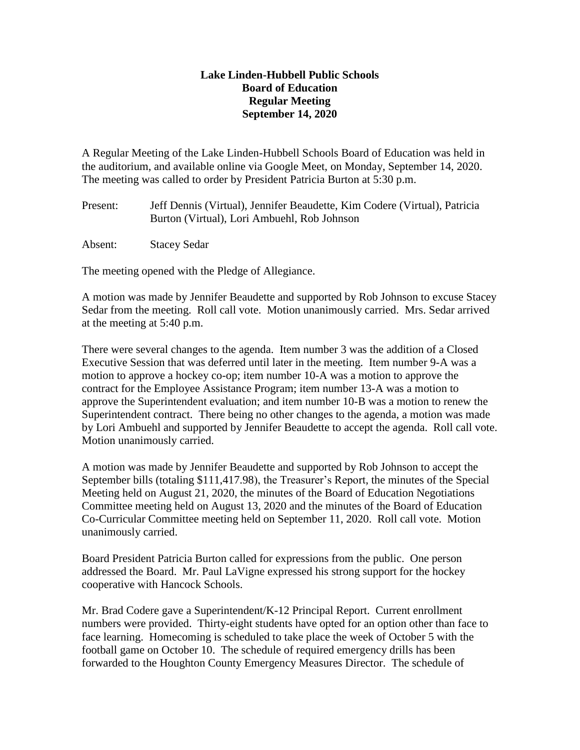## **Lake Linden-Hubbell Public Schools Board of Education Regular Meeting September 14, 2020**

A Regular Meeting of the Lake Linden-Hubbell Schools Board of Education was held in the auditorium, and available online via Google Meet, on Monday, September 14, 2020. The meeting was called to order by President Patricia Burton at 5:30 p.m.

Present: Jeff Dennis (Virtual), Jennifer Beaudette, Kim Codere (Virtual), Patricia Burton (Virtual), Lori Ambuehl, Rob Johnson

Absent: Stacey Sedar

The meeting opened with the Pledge of Allegiance.

A motion was made by Jennifer Beaudette and supported by Rob Johnson to excuse Stacey Sedar from the meeting. Roll call vote. Motion unanimously carried. Mrs. Sedar arrived at the meeting at 5:40 p.m.

There were several changes to the agenda. Item number 3 was the addition of a Closed Executive Session that was deferred until later in the meeting. Item number 9-A was a motion to approve a hockey co-op; item number 10-A was a motion to approve the contract for the Employee Assistance Program; item number 13-A was a motion to approve the Superintendent evaluation; and item number 10-B was a motion to renew the Superintendent contract. There being no other changes to the agenda, a motion was made by Lori Ambuehl and supported by Jennifer Beaudette to accept the agenda. Roll call vote. Motion unanimously carried.

A motion was made by Jennifer Beaudette and supported by Rob Johnson to accept the September bills (totaling \$111,417.98), the Treasurer's Report, the minutes of the Special Meeting held on August 21, 2020, the minutes of the Board of Education Negotiations Committee meeting held on August 13, 2020 and the minutes of the Board of Education Co-Curricular Committee meeting held on September 11, 2020. Roll call vote. Motion unanimously carried.

Board President Patricia Burton called for expressions from the public. One person addressed the Board. Mr. Paul LaVigne expressed his strong support for the hockey cooperative with Hancock Schools.

Mr. Brad Codere gave a Superintendent/K-12 Principal Report. Current enrollment numbers were provided. Thirty-eight students have opted for an option other than face to face learning. Homecoming is scheduled to take place the week of October 5 with the football game on October 10. The schedule of required emergency drills has been forwarded to the Houghton County Emergency Measures Director. The schedule of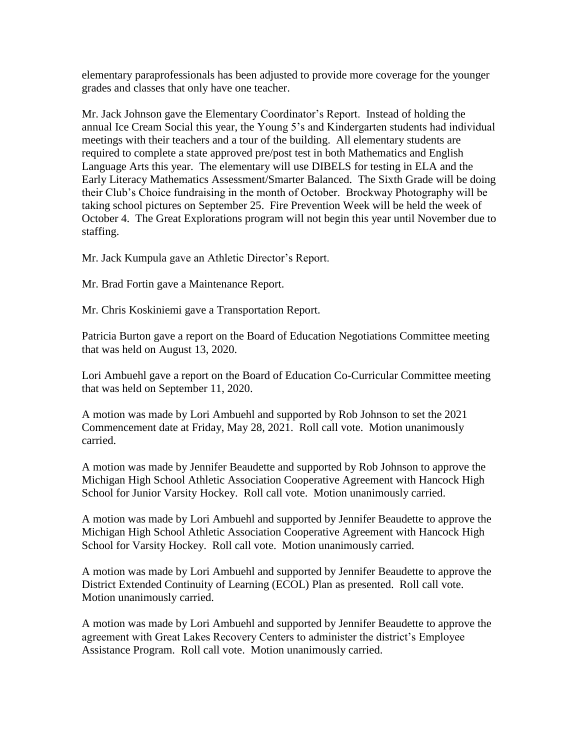elementary paraprofessionals has been adjusted to provide more coverage for the younger grades and classes that only have one teacher.

Mr. Jack Johnson gave the Elementary Coordinator's Report. Instead of holding the annual Ice Cream Social this year, the Young 5's and Kindergarten students had individual meetings with their teachers and a tour of the building. All elementary students are required to complete a state approved pre/post test in both Mathematics and English Language Arts this year. The elementary will use DIBELS for testing in ELA and the Early Literacy Mathematics Assessment/Smarter Balanced. The Sixth Grade will be doing their Club's Choice fundraising in the month of October. Brockway Photography will be taking school pictures on September 25. Fire Prevention Week will be held the week of October 4. The Great Explorations program will not begin this year until November due to staffing.

Mr. Jack Kumpula gave an Athletic Director's Report.

Mr. Brad Fortin gave a Maintenance Report.

Mr. Chris Koskiniemi gave a Transportation Report.

Patricia Burton gave a report on the Board of Education Negotiations Committee meeting that was held on August 13, 2020.

Lori Ambuehl gave a report on the Board of Education Co-Curricular Committee meeting that was held on September 11, 2020.

A motion was made by Lori Ambuehl and supported by Rob Johnson to set the 2021 Commencement date at Friday, May 28, 2021. Roll call vote. Motion unanimously carried.

A motion was made by Jennifer Beaudette and supported by Rob Johnson to approve the Michigan High School Athletic Association Cooperative Agreement with Hancock High School for Junior Varsity Hockey. Roll call vote. Motion unanimously carried.

A motion was made by Lori Ambuehl and supported by Jennifer Beaudette to approve the Michigan High School Athletic Association Cooperative Agreement with Hancock High School for Varsity Hockey. Roll call vote. Motion unanimously carried.

A motion was made by Lori Ambuehl and supported by Jennifer Beaudette to approve the District Extended Continuity of Learning (ECOL) Plan as presented. Roll call vote. Motion unanimously carried.

A motion was made by Lori Ambuehl and supported by Jennifer Beaudette to approve the agreement with Great Lakes Recovery Centers to administer the district's Employee Assistance Program. Roll call vote. Motion unanimously carried.